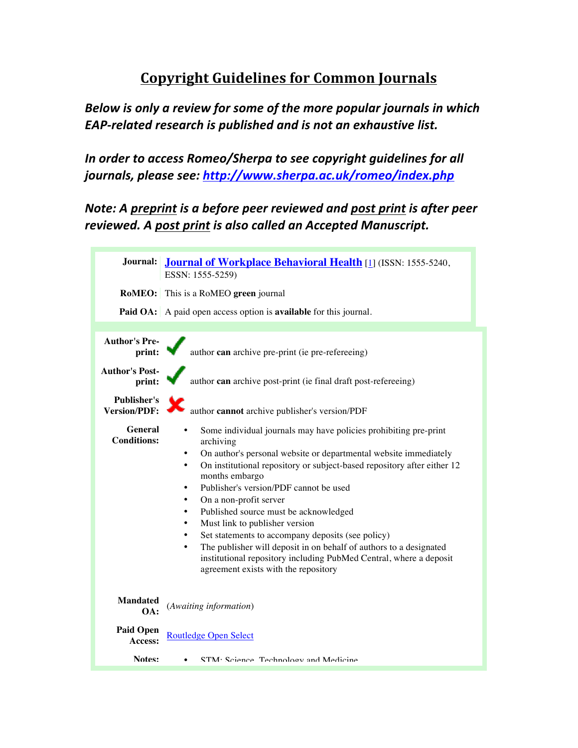## **Copyright Guidelines for Common Journals**

*Below is only a review for some of the more popular journals in which EAP-related research is published and is not an exhaustive list.*

In order to access Romeo/Sherpa to see copyright guidelines for all journals, please see: http://www.sherpa.ac.uk/romeo/index.php

*Note:* A preprint is a before peer reviewed and post print is after peer *reviewed.* A post print is also called an Accepted Manuscript.

|                                      | Journal: Journal of Workplace Behavioral Health [1] (ISSN: 1555-5240,<br>ESSN: 1555-5259)                                                                                                                                                                                                                                                                                                                                                                                                                                                                                                                                                                                                       |
|--------------------------------------|-------------------------------------------------------------------------------------------------------------------------------------------------------------------------------------------------------------------------------------------------------------------------------------------------------------------------------------------------------------------------------------------------------------------------------------------------------------------------------------------------------------------------------------------------------------------------------------------------------------------------------------------------------------------------------------------------|
|                                      | RoMEO: This is a RoMEO green journal                                                                                                                                                                                                                                                                                                                                                                                                                                                                                                                                                                                                                                                            |
|                                      | Paid OA: A paid open access option is available for this journal.                                                                                                                                                                                                                                                                                                                                                                                                                                                                                                                                                                                                                               |
|                                      |                                                                                                                                                                                                                                                                                                                                                                                                                                                                                                                                                                                                                                                                                                 |
| <b>Author's Pre-</b><br>print:       | author can archive pre-print (ie pre-refereeing)                                                                                                                                                                                                                                                                                                                                                                                                                                                                                                                                                                                                                                                |
| <b>Author's Post-</b><br>print:      | author can archive post-print (ie final draft post-refereeing)                                                                                                                                                                                                                                                                                                                                                                                                                                                                                                                                                                                                                                  |
| Publisher's<br><b>Version/PDF:</b>   | author cannot archive publisher's version/PDF                                                                                                                                                                                                                                                                                                                                                                                                                                                                                                                                                                                                                                                   |
| <b>General</b><br><b>Conditions:</b> | Some individual journals may have policies prohibiting pre-print<br>archiving<br>On author's personal website or departmental website immediately<br>$\bullet$<br>On institutional repository or subject-based repository after either 12<br>$\bullet$<br>months embargo<br>Publisher's version/PDF cannot be used<br>$\bullet$<br>On a non-profit server<br>$\bullet$<br>Published source must be acknowledged<br>٠<br>Must link to publisher version<br>Set statements to accompany deposits (see policy)<br>The publisher will deposit in on behalf of authors to a designated<br>institutional repository including PubMed Central, where a deposit<br>agreement exists with the repository |
| <b>Mandated</b><br>$\Omega$ A:       | (Awaiting information)                                                                                                                                                                                                                                                                                                                                                                                                                                                                                                                                                                                                                                                                          |
| <b>Paid Open</b><br>Access:          | <b>Routledge Open Select</b>                                                                                                                                                                                                                                                                                                                                                                                                                                                                                                                                                                                                                                                                    |
| Notes:                               | STM: Science Technology and Medicine                                                                                                                                                                                                                                                                                                                                                                                                                                                                                                                                                                                                                                                            |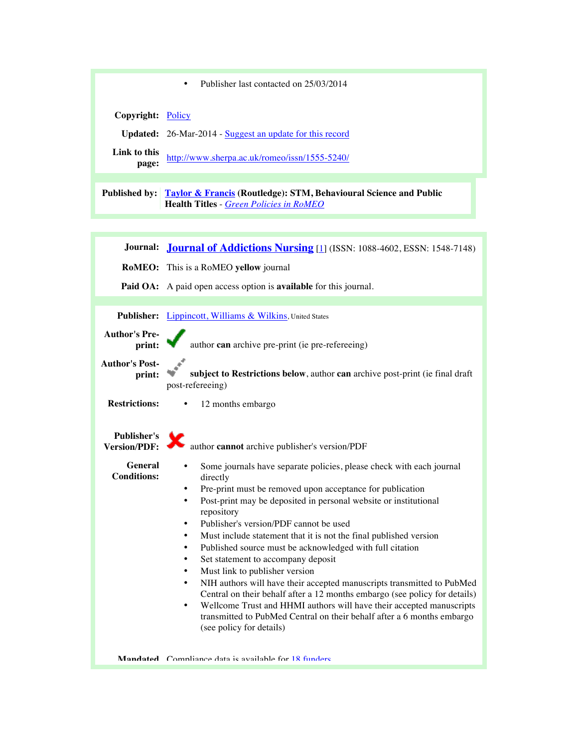|                                                                                   | Publisher last contacted on 25/03/2014<br>٠                                                                                                                                                                                                                                                                                                                                                                                                                                                                                                                                                                                                                                                                                                                                                                                                                                                                                                                                       |
|-----------------------------------------------------------------------------------|-----------------------------------------------------------------------------------------------------------------------------------------------------------------------------------------------------------------------------------------------------------------------------------------------------------------------------------------------------------------------------------------------------------------------------------------------------------------------------------------------------------------------------------------------------------------------------------------------------------------------------------------------------------------------------------------------------------------------------------------------------------------------------------------------------------------------------------------------------------------------------------------------------------------------------------------------------------------------------------|
| Copyright: Policy                                                                 |                                                                                                                                                                                                                                                                                                                                                                                                                                                                                                                                                                                                                                                                                                                                                                                                                                                                                                                                                                                   |
|                                                                                   | <b>Updated:</b> 26-Mar-2014 - Suggest an update for this record                                                                                                                                                                                                                                                                                                                                                                                                                                                                                                                                                                                                                                                                                                                                                                                                                                                                                                                   |
| Link to this<br>page:                                                             | http://www.sherpa.ac.uk/romeo/issn/1555-5240/                                                                                                                                                                                                                                                                                                                                                                                                                                                                                                                                                                                                                                                                                                                                                                                                                                                                                                                                     |
| <b>Published by:</b>                                                              | <b>Taylor &amp; Francis (Routledge): STM, Behavioural Science and Public</b><br><b>Health Titles - Green Policies in RoMEO</b>                                                                                                                                                                                                                                                                                                                                                                                                                                                                                                                                                                                                                                                                                                                                                                                                                                                    |
|                                                                                   |                                                                                                                                                                                                                                                                                                                                                                                                                                                                                                                                                                                                                                                                                                                                                                                                                                                                                                                                                                                   |
|                                                                                   | Journal: Journal of Addictions Nursing [1] (ISSN: 1088-4602, ESSN: 1548-7148)                                                                                                                                                                                                                                                                                                                                                                                                                                                                                                                                                                                                                                                                                                                                                                                                                                                                                                     |
|                                                                                   | RoMEO: This is a RoMEO yellow journal                                                                                                                                                                                                                                                                                                                                                                                                                                                                                                                                                                                                                                                                                                                                                                                                                                                                                                                                             |
|                                                                                   | Paid OA: A paid open access option is available for this journal.                                                                                                                                                                                                                                                                                                                                                                                                                                                                                                                                                                                                                                                                                                                                                                                                                                                                                                                 |
| <b>Author's Pre-</b><br>print:<br><b>Author's Post-</b><br>print:                 | Publisher: Lippincott, Williams & Wilkins, United States<br>author can archive pre-print (ie pre-refereeing)<br>subject to Restrictions below, author can archive post-print (ie final draft<br>post-refereeing)                                                                                                                                                                                                                                                                                                                                                                                                                                                                                                                                                                                                                                                                                                                                                                  |
| <b>Publisher's</b><br><b>Version/PDF:</b><br><b>General</b><br><b>Conditions:</b> | author cannot archive publisher's version/PDF<br>Some journals have separate policies, please check with each journal<br>directly<br>Pre-print must be removed upon acceptance for publication<br>Post-print may be deposited in personal website or institutional<br>$\bullet$<br>repository<br>Publisher's version/PDF cannot be used<br>$\bullet$<br>Must include statement that it is not the final published version<br>$\bullet$<br>Published source must be acknowledged with full citation<br>$\bullet$<br>Set statement to accompany deposit<br>$\bullet$<br>Must link to publisher version<br>$\bullet$<br>NIH authors will have their accepted manuscripts transmitted to PubMed<br>$\bullet$<br>Central on their behalf after a 12 months embargo (see policy for details)<br>Wellcome Trust and HHMI authors will have their accepted manuscripts<br>$\bullet$<br>transmitted to PubMed Central on their behalf after a 6 months embargo<br>(see policy for details) |
| <b>Restrictions:</b>                                                              | 12 months embargo                                                                                                                                                                                                                                                                                                                                                                                                                                                                                                                                                                                                                                                                                                                                                                                                                                                                                                                                                                 |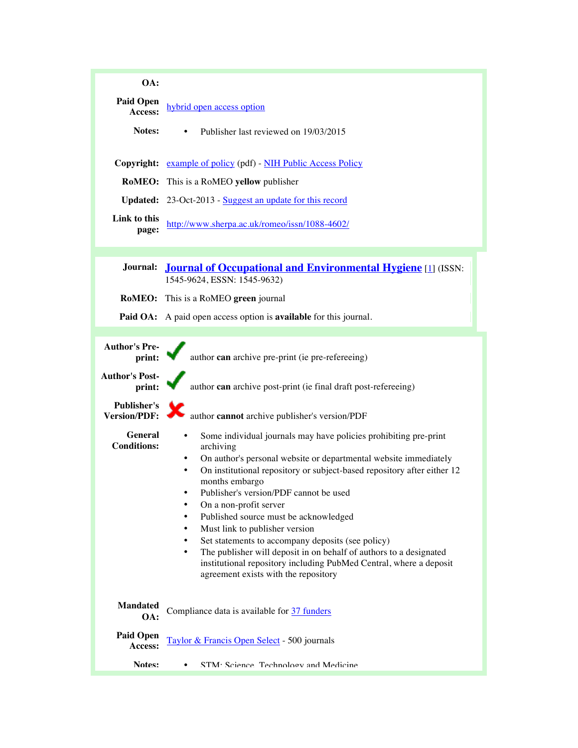| OA:                                                                                                                                             |                                                                                                                                                                                                                                                                                                                                                                                                                                                                                                                                                                                                                                                                                                                                                                                           |
|-------------------------------------------------------------------------------------------------------------------------------------------------|-------------------------------------------------------------------------------------------------------------------------------------------------------------------------------------------------------------------------------------------------------------------------------------------------------------------------------------------------------------------------------------------------------------------------------------------------------------------------------------------------------------------------------------------------------------------------------------------------------------------------------------------------------------------------------------------------------------------------------------------------------------------------------------------|
| <b>Paid Open</b><br>Access:                                                                                                                     | hybrid open access option                                                                                                                                                                                                                                                                                                                                                                                                                                                                                                                                                                                                                                                                                                                                                                 |
| Notes:                                                                                                                                          | Publisher last reviewed on 19/03/2015                                                                                                                                                                                                                                                                                                                                                                                                                                                                                                                                                                                                                                                                                                                                                     |
|                                                                                                                                                 | Copyright: example of policy (pdf) - NIH Public Access Policy                                                                                                                                                                                                                                                                                                                                                                                                                                                                                                                                                                                                                                                                                                                             |
|                                                                                                                                                 | <b>RoMEO:</b> This is a RoMEO yellow publisher                                                                                                                                                                                                                                                                                                                                                                                                                                                                                                                                                                                                                                                                                                                                            |
|                                                                                                                                                 | <b>Updated:</b> 23-Oct-2013 - Suggest an update for this record                                                                                                                                                                                                                                                                                                                                                                                                                                                                                                                                                                                                                                                                                                                           |
| Link to this<br>page:                                                                                                                           | http://www.sherpa.ac.uk/romeo/issn/1088-4602/                                                                                                                                                                                                                                                                                                                                                                                                                                                                                                                                                                                                                                                                                                                                             |
| Journal:                                                                                                                                        | <b>Journal of Occupational and Environmental Hygiene [1] (ISSN:</b><br>1545-9624, ESSN: 1545-9632)                                                                                                                                                                                                                                                                                                                                                                                                                                                                                                                                                                                                                                                                                        |
|                                                                                                                                                 | <b>RoMEO:</b> This is a RoMEO green journal                                                                                                                                                                                                                                                                                                                                                                                                                                                                                                                                                                                                                                                                                                                                               |
|                                                                                                                                                 | <b>Paid OA:</b> A paid open access option is <b>available</b> for this journal.                                                                                                                                                                                                                                                                                                                                                                                                                                                                                                                                                                                                                                                                                                           |
| <b>Author's Pre-</b><br>print:<br><b>Author's Post-</b><br>print:<br>Publisher's<br><b>Version/PDF:</b><br><b>General</b><br><b>Conditions:</b> | author can archive pre-print (ie pre-refereeing)<br>author can archive post-print (ie final draft post-refereeing)<br>author cannot archive publisher's version/PDF<br>Some individual journals may have policies prohibiting pre-print<br>archiving<br>On author's personal website or departmental website immediately<br>٠<br>On institutional repository or subject-based repository after either 12<br>months embargo<br>٠<br>Publisher's version/PDF cannot be used<br>On a non-profit server<br>Published source must be acknowledged<br>Must link to publisher version<br>٠<br>Set statements to accompany deposits (see policy)<br>٠<br>The publisher will deposit in on behalf of authors to a designated<br>institutional repository including PubMed Central, where a deposit |
| <b>Mandated</b><br>OA:<br><b>Paid Open</b><br>Access:<br>Notes:                                                                                 | agreement exists with the repository<br>Compliance data is available for 37 funders<br>Taylor & Francis Open Select - 500 journals<br>$STM:$ Science Technology and Medicine                                                                                                                                                                                                                                                                                                                                                                                                                                                                                                                                                                                                              |
|                                                                                                                                                 |                                                                                                                                                                                                                                                                                                                                                                                                                                                                                                                                                                                                                                                                                                                                                                                           |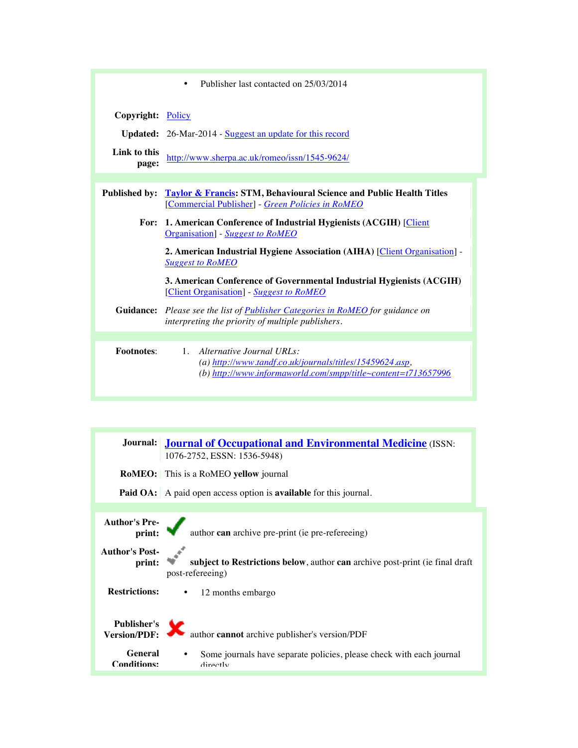|                       | Publisher last contacted on 25/03/2014<br>٠                                                                                                                                 |
|-----------------------|-----------------------------------------------------------------------------------------------------------------------------------------------------------------------------|
| Copyright: Policy     |                                                                                                                                                                             |
|                       | <b>Updated:</b> 26-Mar-2014 - Suggest an update for this record                                                                                                             |
| Link to this<br>page: | http://www.sherpa.ac.uk/romeo/issn/1545-9624/                                                                                                                               |
|                       |                                                                                                                                                                             |
| <b>Published by:</b>  | <b>Taylor &amp; Francis: STM, Behavioural Science and Public Health Titles</b><br>[Commercial Publisher] - Green Policies in RoMEO                                          |
|                       | For: 1. American Conference of Industrial Hygienists (ACGIH) [Client]<br>Organisation - Suggest to RoMEO                                                                    |
|                       | <b>2. American Industrial Hygiene Association (AIHA)</b> [Client Organisation] -<br><b>Suggest to RoMEO</b>                                                                 |
|                       | 3. American Conference of Governmental Industrial Hygienists (ACGIH)<br>[Client Organisation] - Suggest to RoMEO                                                            |
|                       | <b>Guidance:</b> Please see the list of <b>Publisher Categories in RoMEO</b> for guidance on<br>interpreting the priority of multiple publishers.                           |
|                       |                                                                                                                                                                             |
| <b>Footnotes:</b>     | Alternative Journal URLs:<br>$1 \quad$<br>(a) $\frac{http://www.tandf.co.uk/journals/titles/15459624.asp,$<br>(b) http://www.informaworld.com/smpp/title~content=t713657996 |

|                                 | Journal: Journal of Occupational and Environmental Medicine (ISSN:<br>1076-2752, ESSN: 1536-5948) |
|---------------------------------|---------------------------------------------------------------------------------------------------|
|                                 | <b>RoMEO:</b> This is a RoMEO <b>yellow</b> journal                                               |
|                                 | <b>Paid OA:</b> A paid open access option is <b>available</b> for this journal.                   |
|                                 |                                                                                                   |
|                                 | Author's Preprint:<br>with author can archive pre-print (ie pre-refereeing)                       |
| <b>Author's Post-</b><br>print: | subject to Restrictions below, author can archive post-print (ie final draft<br>post-refereeing)  |
|                                 | <b>Restrictions:</b> • 12 months embargo                                                          |
|                                 | Publisher's Version/PDF: version/PDF:                                                             |
| General<br><b>Conditions:</b>   | Some journals have separate policies, please check with each journal<br>$\bullet$<br>directly     |